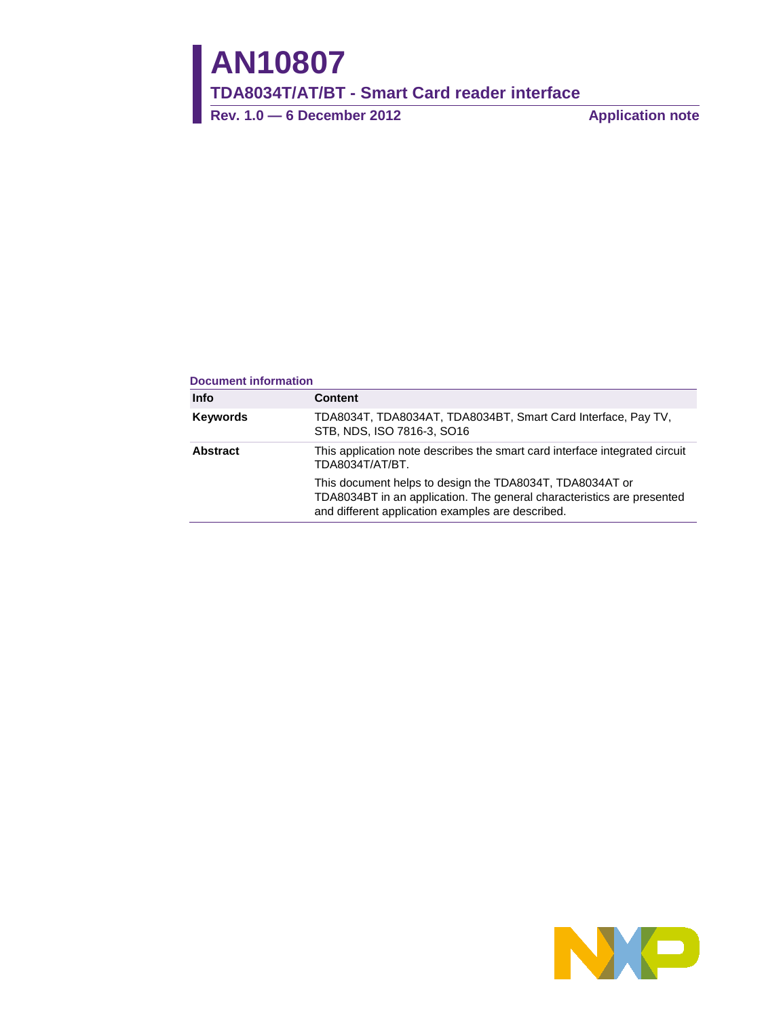**AN10807**

**TDA8034T/AT/BT - Smart Card reader interface** 

**Rev. 1.0 — 6 December 2012 Application note**

#### **Document information**

| <b>Info</b>     | <b>Content</b>                                                                                                                                                                          |
|-----------------|-----------------------------------------------------------------------------------------------------------------------------------------------------------------------------------------|
| <b>Keywords</b> | TDA8034T, TDA8034AT, TDA8034BT, Smart Card Interface, Pay TV,<br>STB, NDS, ISO 7816-3, SO16                                                                                             |
| <b>Abstract</b> | This application note describes the smart card interface integrated circuit<br>TDA8034T/AT/BT.                                                                                          |
|                 | This document helps to design the TDA8034T, TDA8034AT or<br>TDA8034BT in an application. The general characteristics are presented<br>and different application examples are described. |

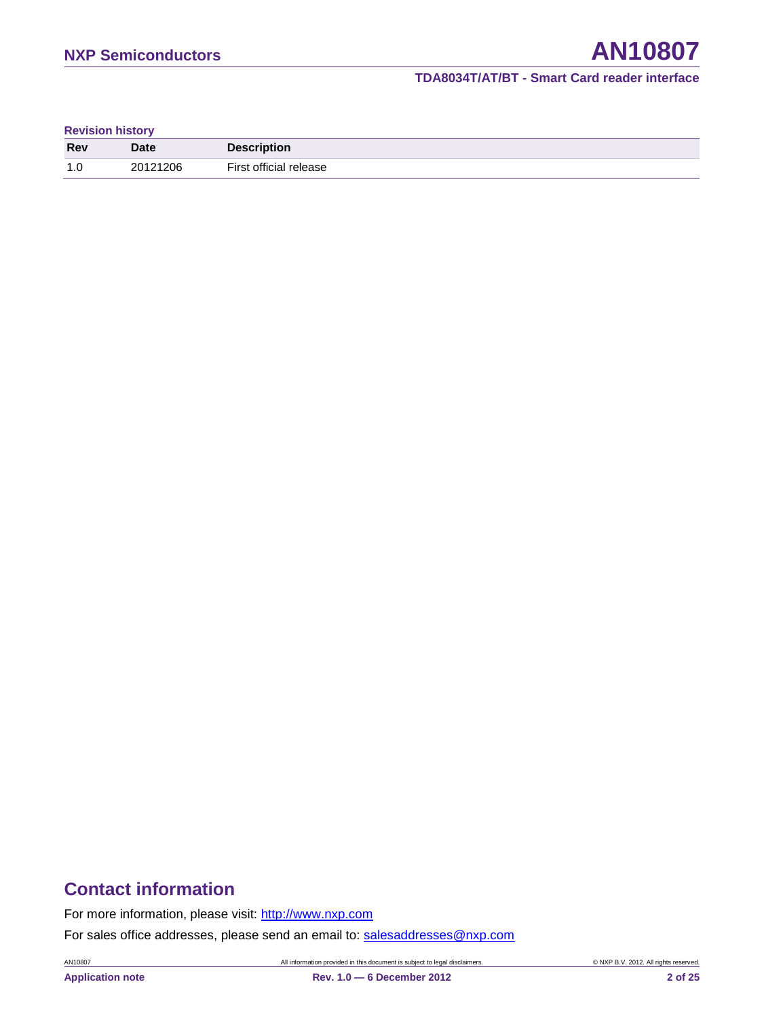**Revision history**

| <b>Rev</b> | <b>Date</b> | <b>Description</b>     |
|------------|-------------|------------------------|
| 1 C<br>، ۱ | 20121206    | First official release |

# **Contact information**

For more information, please visit: [http://www.nxp.com](http://www.nxp.com/)

For sales office addresses, please send an email to: [salesaddresses@nxp.com](mailto:salesaddresses@nxp.com)

AN10807 All information provided in this document is subject to legal disclaimers. © NXP B.V. 2012. All rights reserved.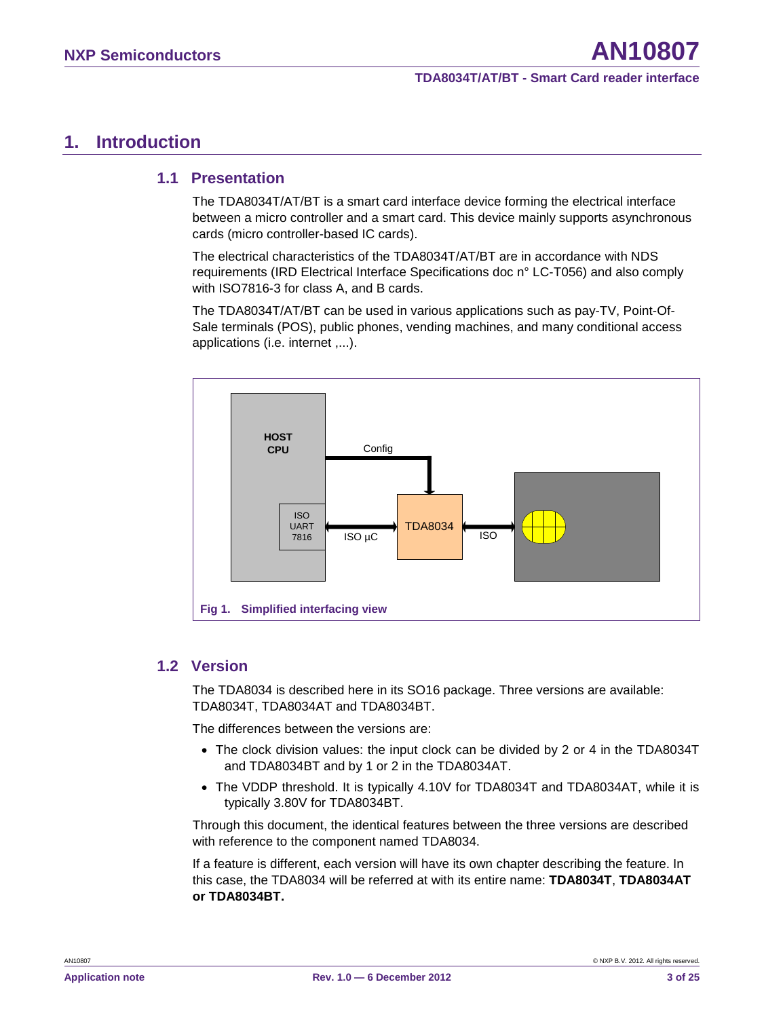## <span id="page-2-1"></span>**1. Introduction**

#### <span id="page-2-2"></span>**1.1 Presentation**

The TDA8034T/AT/BT is a smart card interface device forming the electrical interface between a micro controller and a smart card. This device mainly supports asynchronous cards (micro controller-based IC cards).

The electrical characteristics of the TDA8034T/AT/BT are in accordance with NDS requirements (IRD Electrical Interface Specifications doc n° LC-T056) and also comply with ISO7816-3 for class A, and B cards.

The TDA8034T/AT/BT can be used in various applications such as pay-TV, Point-Of-Sale terminals (POS), public phones, vending machines, and many conditional access applications (i.e. internet ,...).



#### <span id="page-2-3"></span><span id="page-2-0"></span>**1.2 Version**

The TDA8034 is described here in its SO16 package. Three versions are available: TDA8034T, TDA8034AT and TDA8034BT.

The differences between the versions are:

- The clock division values: the input clock can be divided by 2 or 4 in the TDA8034T and TDA8034BT and by 1 or 2 in the TDA8034AT.
- The VDDP threshold. It is typically 4.10V for TDA8034T and TDA8034AT, while it is typically 3.80V for TDA8034BT.

Through this document, the identical features between the three versions are described with reference to the component named TDA8034.

If a feature is different, each version will have its own chapter describing the feature. In this case, the TDA8034 will be referred at with its entire name: **TDA8034T**, **TDA8034AT or TDA8034BT.**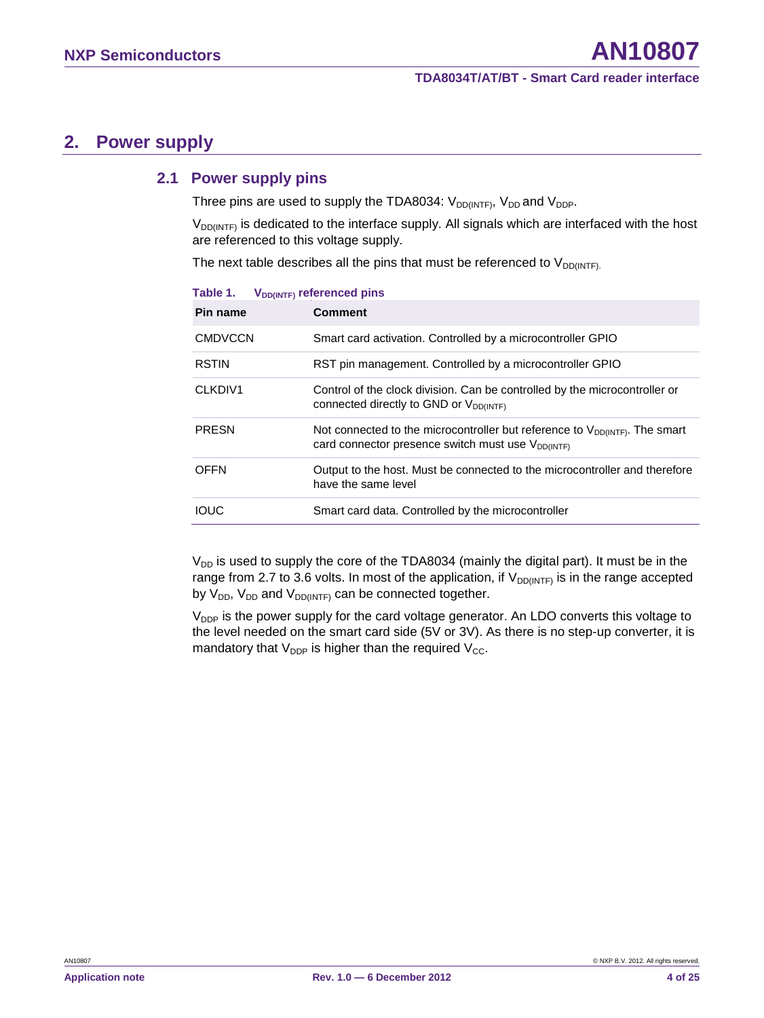## <span id="page-3-1"></span>**2. Power supply**

#### <span id="page-3-2"></span>**2.1 Power supply pins**

Three pins are used to supply the TDA8034:  $V_{DD(INTF)}$ ,  $V_{DD}$  and  $V_{DDP}$ .

 $V_{DD(iNTF)}$  is dedicated to the interface supply. All signals which are interfaced with the host are referenced to this voltage supply.

The next table describes all the pins that must be referenced to  $V_{DD(iNTF)}$ .

<span id="page-3-0"></span>

| Table 1.       | V <sub>DD(INTF)</sub> referenced pins                                                                                                            |
|----------------|--------------------------------------------------------------------------------------------------------------------------------------------------|
| Pin name       | <b>Comment</b>                                                                                                                                   |
| <b>CMDVCCN</b> | Smart card activation. Controlled by a microcontroller GPIO                                                                                      |
| <b>RSTIN</b>   | RST pin management. Controlled by a microcontroller GPIO                                                                                         |
| CLKDIV1        | Control of the clock division. Can be controlled by the microcontroller or<br>connected directly to GND or V <sub>DD(INTF)</sub>                 |
| <b>PRESN</b>   | Not connected to the microcontroller but reference to $V_{DD(NTF)}$ . The smart<br>card connector presence switch must use V <sub>DD(INTF)</sub> |
| <b>OFFN</b>    | Output to the host. Must be connected to the microcontroller and therefore<br>have the same level                                                |
| <b>IOUC</b>    | Smart card data. Controlled by the microcontroller                                                                                               |

 $V_{DD}$  is used to supply the core of the TDA8034 (mainly the digital part). It must be in the range from 2.7 to 3.6 volts. In most of the application, if  $V_{DD(INTF)}$  is in the range accepted by  $V_{DD}$ ,  $V_{DD}$  and  $V_{DD(INTF)}$  can be connected together.

 $V_{DDP}$  is the power supply for the card voltage generator. An LDO converts this voltage to the level needed on the smart card side (5V or 3V). As there is no step-up converter, it is mandatory that  $V_{DDP}$  is higher than the required  $V_{CC}$ .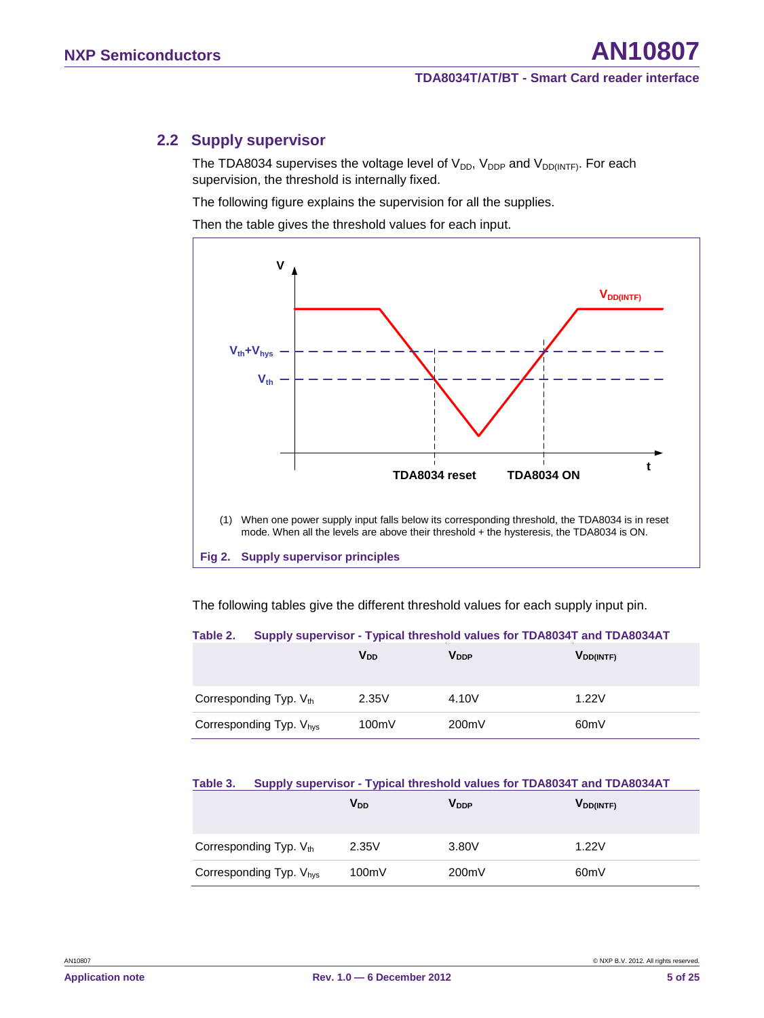### <span id="page-4-3"></span>**2.2 Supply supervisor**

The TDA8034 supervises the voltage level of  $V_{DD}$ ,  $V_{DDP}$  and  $V_{DD(INTF)}$ . For each supervision, the threshold is internally fixed.

The following figure explains the supervision for all the supplies.

Then the table gives the threshold values for each input.



<span id="page-4-0"></span>The following tables give the different threshold values for each supply input pin.

<span id="page-4-1"></span>

| Table 2. |  |  | Supply supervisor - Typical threshold values for TDA8034T and TDA8034AT |
|----------|--|--|-------------------------------------------------------------------------|
|----------|--|--|-------------------------------------------------------------------------|

|                         | <b>V<sub>DD</sub></b> | <b>V</b> <sub>DDP</sub> | V <sub>DD(INTF)</sub> |
|-------------------------|-----------------------|-------------------------|-----------------------|
| Corresponding Typ. Vth  | 2.35V                 | 4.10V                   | 1.22V                 |
| Corresponding Typ. Vhys | 100mV                 | 200mV                   | 60 <sub>m</sub> V     |

#### <span id="page-4-2"></span>**Table 3. Supply supervisor - Typical threshold values for TDA8034T and TDA8034AT**

|                                     | <b>V</b> <sub>DD</sub> | <b>V</b> <sub>DDP</sub> | <b>V</b> DD(INTF) |
|-------------------------------------|------------------------|-------------------------|-------------------|
| Corresponding Typ. $V_{th}$         | 2.35V                  | 3.80V                   | 1.22V             |
| Corresponding Typ. V <sub>hys</sub> | 100mV                  | 200mV                   | 60 <sub>m</sub> V |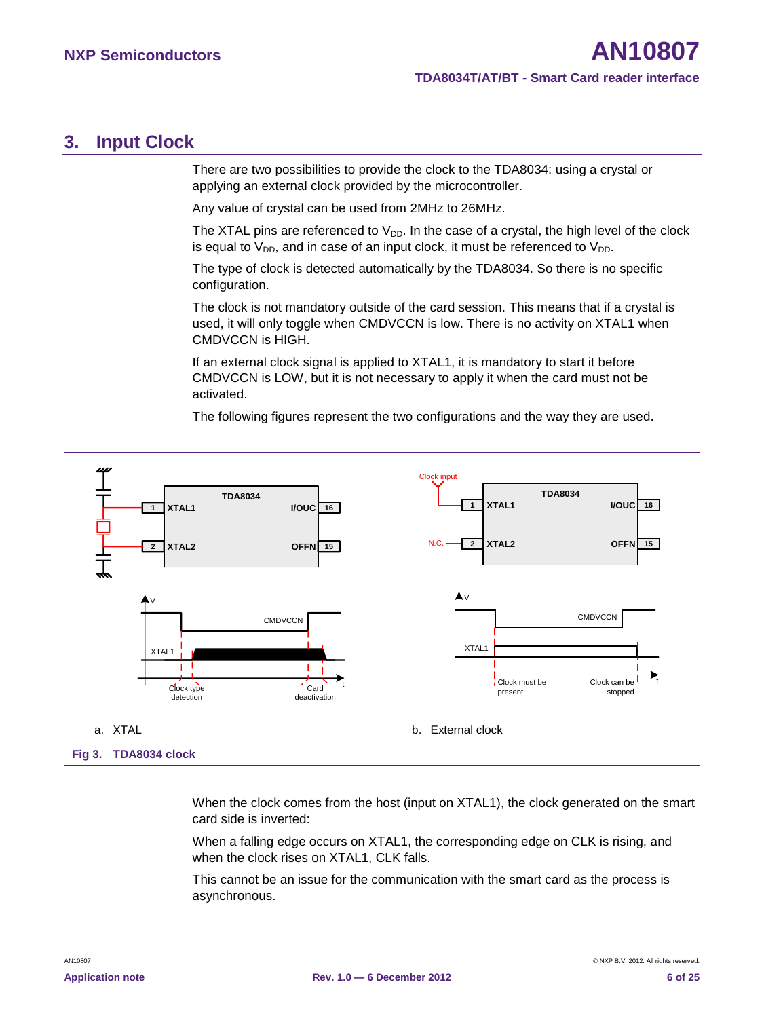## <span id="page-5-1"></span>**3. Input Clock**

There are two possibilities to provide the clock to the TDA8034: using a crystal or applying an external clock provided by the microcontroller.

Any value of crystal can be used from 2MHz to 26MHz.

The XTAL pins are referenced to  $V_{DD}$ . In the case of a crystal, the high level of the clock is equal to  $V_{DD}$ , and in case of an input clock, it must be referenced to  $V_{DD}$ .

The type of clock is detected automatically by the TDA8034. So there is no specific configuration.

The clock is not mandatory outside of the card session. This means that if a crystal is used, it will only toggle when CMDVCCN is low. There is no activity on XTAL1 when CMDVCCN is HIGH.

If an external clock signal is applied to XTAL1, it is mandatory to start it before CMDVCCN is LOW, but it is not necessary to apply it when the card must not be activated.

The following figures represent the two configurations and the way they are used.



<span id="page-5-0"></span>When the clock comes from the host (input on XTAL1), the clock generated on the smart card side is inverted:

When a falling edge occurs on XTAL1, the corresponding edge on CLK is rising, and when the clock rises on XTAL1, CLK falls.

This cannot be an issue for the communication with the smart card as the process is asynchronous.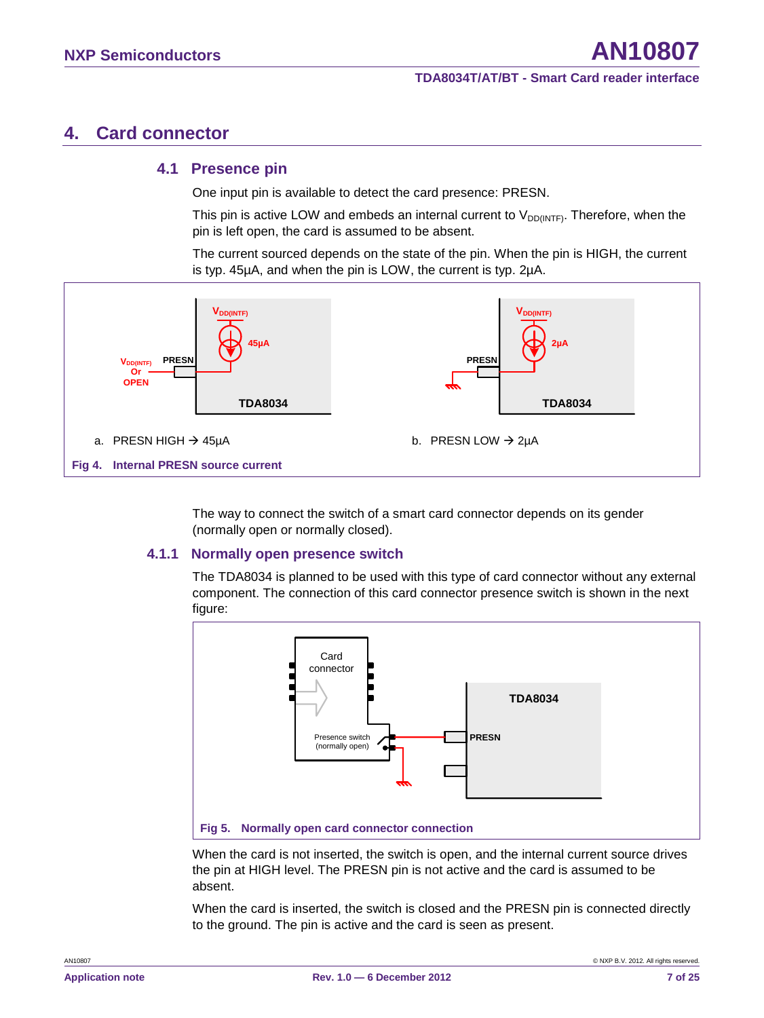## <span id="page-6-0"></span>**4. Card connector**

### <span id="page-6-3"></span>**4.1 Presence pin**

One input pin is available to detect the card presence: PRESN.

This pin is active LOW and embeds an internal current to  $V_{DD/(NTF)}$ . Therefore, when the pin is left open, the card is assumed to be absent.

The current sourced depends on the state of the pin. When the pin is HIGH, the current is typ. 45µA, and when the pin is LOW, the current is typ. 2µA.



The way to connect the switch of a smart card connector depends on its gender (normally open or normally closed).

#### <span id="page-6-1"></span>**4.1.1 Normally open presence switch**

<span id="page-6-4"></span>The TDA8034 is planned to be used with this type of card connector without any external component. The connection of this card connector presence switch is shown in the next figure:



<span id="page-6-2"></span>When the card is not inserted, the switch is open, and the internal current source drives the pin at HIGH level. The PRESN pin is not active and the card is assumed to be absent.

When the card is inserted, the switch is closed and the PRESN pin is connected directly to the ground. The pin is active and the card is seen as present.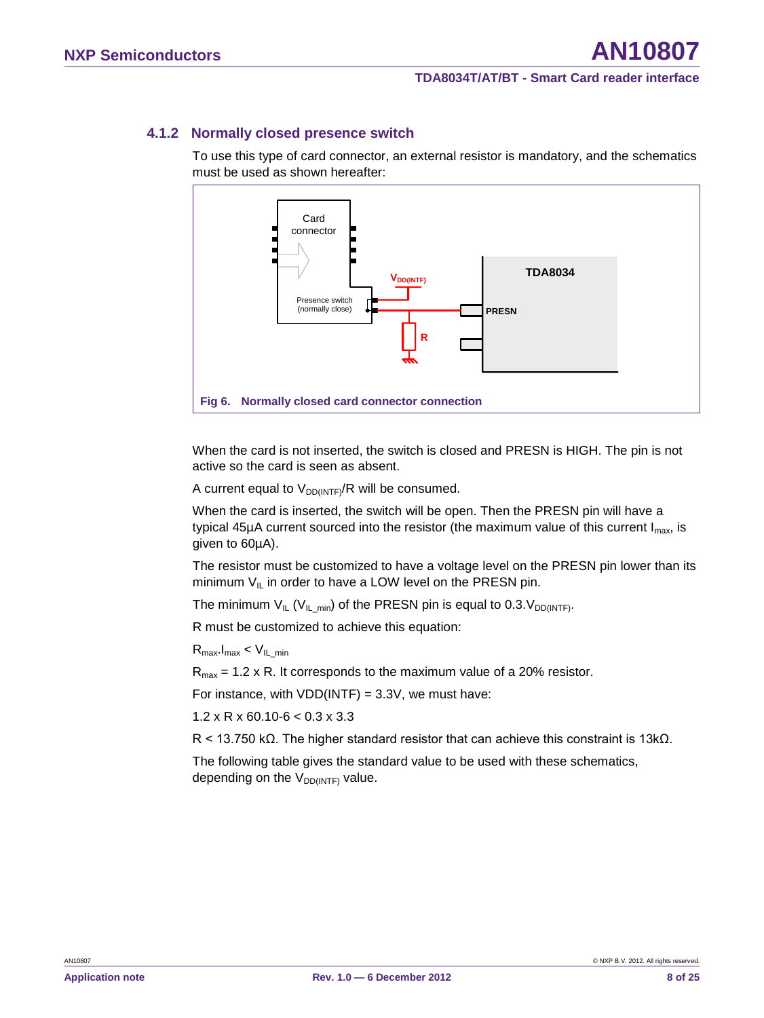#### **4.1.2 Normally closed presence switch**

<span id="page-7-1"></span>To use this type of card connector, an external resistor is mandatory, and the schematics must be used as shown hereafter:



<span id="page-7-0"></span>When the card is not inserted, the switch is closed and PRESN is HIGH. The pin is not active so the card is seen as absent.

A current equal to  $V_{DD(iNTF)}/R$  will be consumed.

When the card is inserted, the switch will be open. Then the PRESN pin will have a typical 45µA current sourced into the resistor (the maximum value of this current  $I_{\text{max}}$ , is given to 60µA).

The resistor must be customized to have a voltage level on the PRESN pin lower than its minimum  $V_{II}$  in order to have a LOW level on the PRESN pin.

The minimum  $V_{IL}$  ( $V_{IL,min}$ ) of the PRESN pin is equal to 0.3. $V_{DD(INTF)}$ .

R must be customized to achieve this equation:

 $R_{\text{max}}.I_{\text{max}} < V_{\text{IL}}$ <sub>min</sub>

 $R_{\text{max}}$  = 1.2 x R. It corresponds to the maximum value of a 20% resistor.

For instance, with  $VDD(INTER) = 3.3V$ , we must have:

 $1.2 \times R \times 60.10 - 6 < 0.3 \times 3.3$ 

R < 13.750 kΩ. The higher standard resistor that can achieve this constraint is 13kΩ.

The following table gives the standard value to be used with these schematics, depending on the  $V_{DD(INTF)}$  value.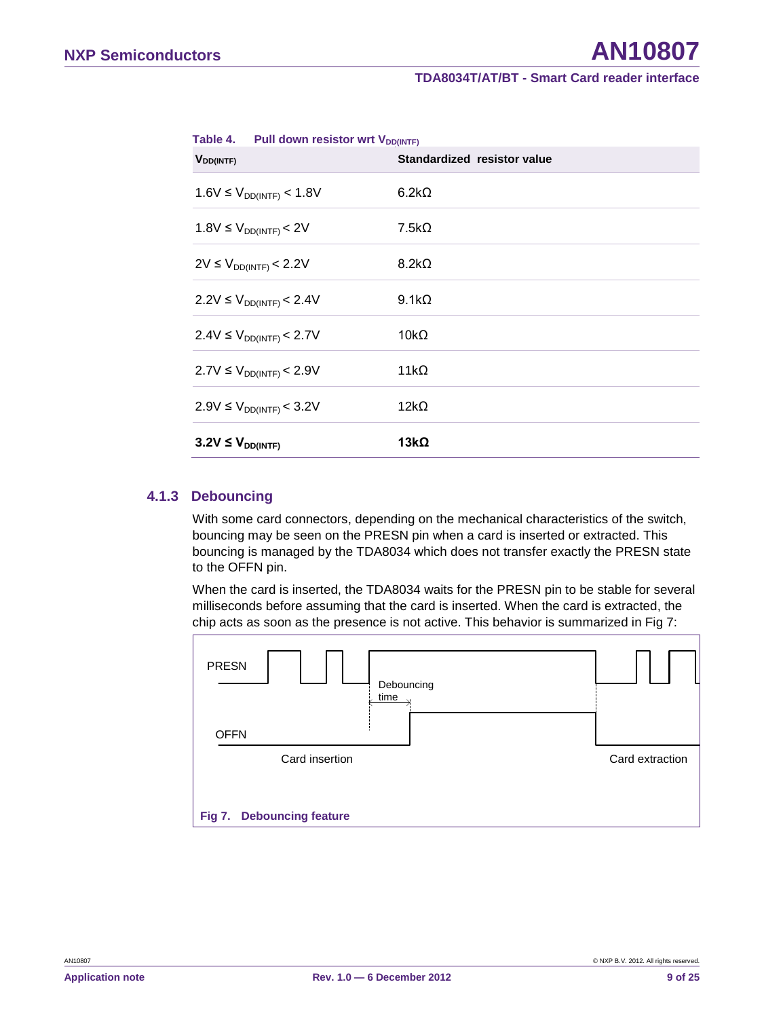| <b>Table 4.</b> Pull down resistor wrt $V_{DD(INTF)}$<br>V <sub>DD(INTF)</sub> | Standardized resistor value |
|--------------------------------------------------------------------------------|-----------------------------|
| $1.6V \le V_{DD(INTF)} < 1.8V$                                                 | $6.2k\Omega$                |
| $1.8V ≤ V_{DD(INTF)} < 2V$                                                     | $7.5k\Omega$                |
| $2V \le V_{DD(INTF)} < 2.2V$                                                   | $8.2k\Omega$                |
| $2.2V \le V_{DD(INTF)} < 2.4V$                                                 | $9.1k\Omega$                |
| $2.4V \le V_{DD(INTF)} < 2.7V$                                                 | $10k\Omega$                 |
| 2.7V ≤ $V_{DD(INTF)}$ < 2.9V                                                   | 11k $\Omega$                |
| $2.9V ≤ V_{DD(INTER)} < 3.2V$                                                  | 12k $\Omega$                |
| $3.2V \leq V_{DD(INTF)}$                                                       | 13kΩ                        |

#### <span id="page-8-1"></span>Table 4. Pull down resistor wrt V<sub>DD(INTF)</sub>

#### **4.1.3 Debouncing**

<span id="page-8-2"></span>With some card connectors, depending on the mechanical characteristics of the switch, bouncing may be seen on the PRESN pin when a card is inserted or extracted. This bouncing is managed by the TDA8034 which does not transfer exactly the PRESN state to the OFFN pin.

When the card is inserted, the TDA8034 waits for the PRESN pin to be stable for several milliseconds before assuming that the card is inserted. When the card is extracted, the chip acts as soon as the presence is not active. This behavior is summarized in [Fig 7:](#page-8-0)

<span id="page-8-0"></span>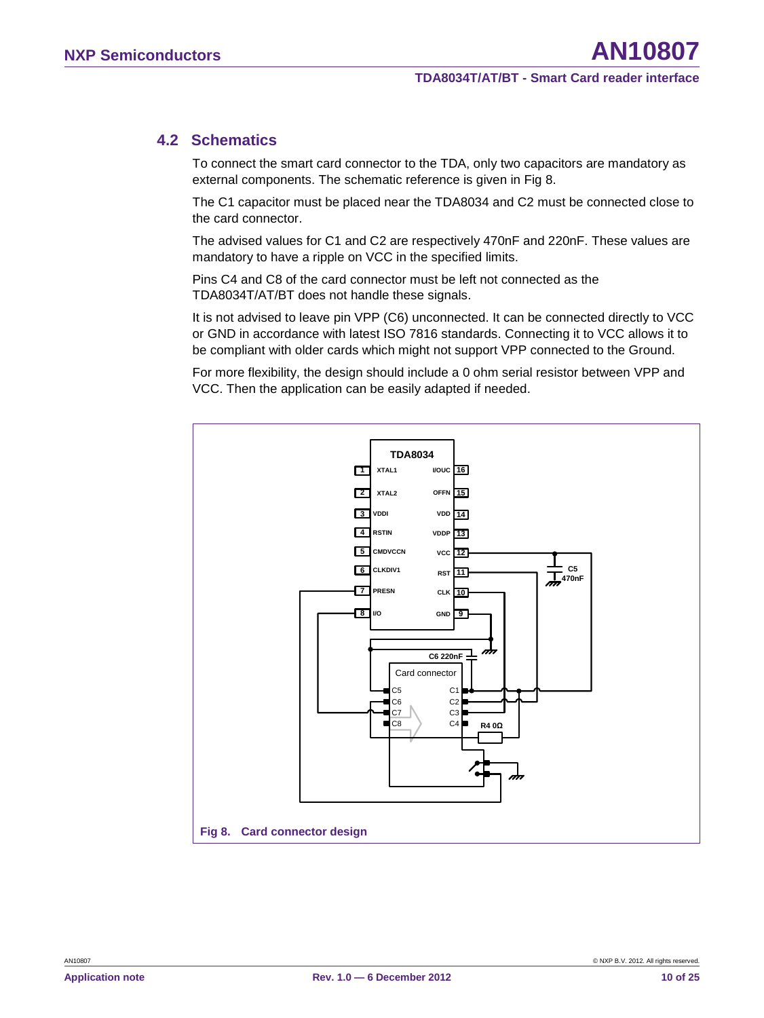## <span id="page-9-1"></span>**4.2 Schematics**

To connect the smart card connector to the TDA, only two capacitors are mandatory as external components. The schematic reference is given in [Fig 8.](#page-9-0)

The C1 capacitor must be placed near the TDA8034 and C2 must be connected close to the card connector.

The advised values for C1 and C2 are respectively 470nF and 220nF. These values are mandatory to have a ripple on VCC in the specified limits.

Pins C4 and C8 of the card connector must be left not connected as the TDA8034T/AT/BT does not handle these signals.

It is not advised to leave pin VPP (C6) unconnected. It can be connected directly to VCC or GND in accordance with latest ISO 7816 standards. Connecting it to VCC allows it to be compliant with older cards which might not support VPP connected to the Ground.

For more flexibility, the design should include a 0 ohm serial resistor between VPP and VCC. Then the application can be easily adapted if needed.

<span id="page-9-0"></span>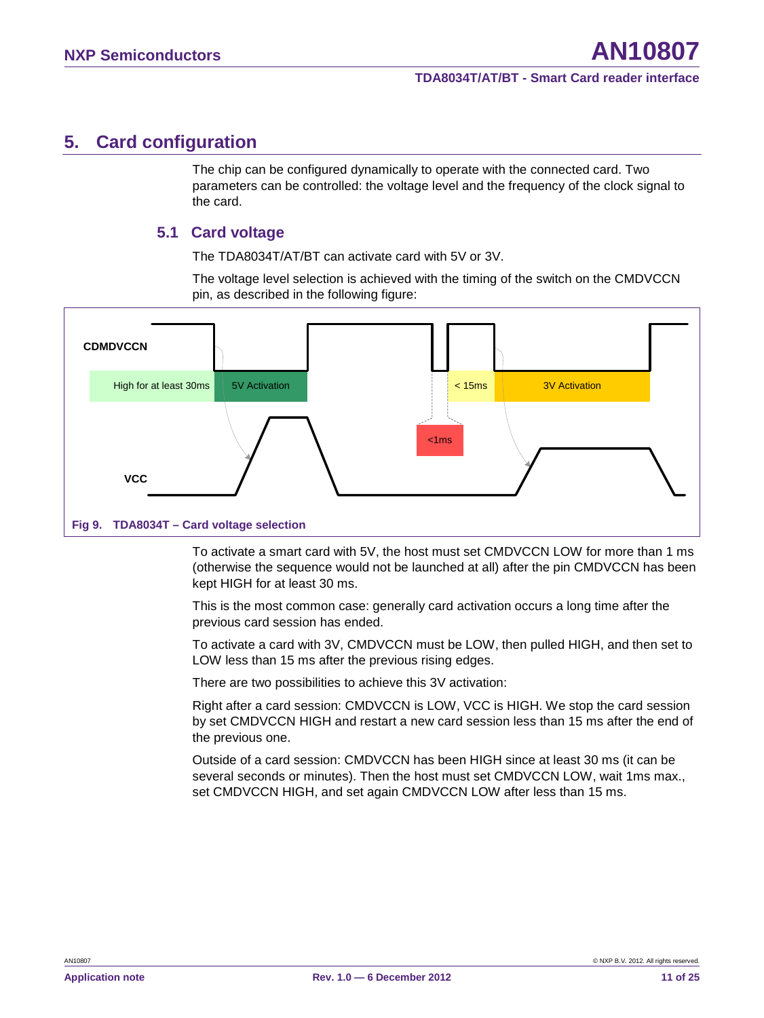## <span id="page-10-2"></span>**5. Card configuration**

The chip can be configured dynamically to operate with the connected card. Two parameters can be controlled: the voltage level and the frequency of the clock signal to the card.

#### <span id="page-10-0"></span>**5.1 Card voltage**

The TDA8034T/AT/BT can activate card with 5V or 3V.

The voltage level selection is achieved with the timing of the switch on the CMDVCCN pin, as described in the following figure:



<span id="page-10-1"></span>To activate a smart card with 5V, the host must set CMDVCCN LOW for more than 1 ms (otherwise the sequence would not be launched at all) after the pin CMDVCCN has been kept HIGH for at least 30 ms.

This is the most common case: generally card activation occurs a long time after the previous card session has ended.

To activate a card with 3V, CMDVCCN must be LOW, then pulled HIGH, and then set to LOW less than 15 ms after the previous rising edges.

There are two possibilities to achieve this 3V activation:

Right after a card session: CMDVCCN is LOW, VCC is HIGH. We stop the card session by set CMDVCCN HIGH and restart a new card session less than 15 ms after the end of the previous one.

Outside of a card session: CMDVCCN has been HIGH since at least 30 ms (it can be several seconds or minutes). Then the host must set CMDVCCN LOW, wait 1ms max., set CMDVCCN HIGH, and set again CMDVCCN LOW after less than 15 ms.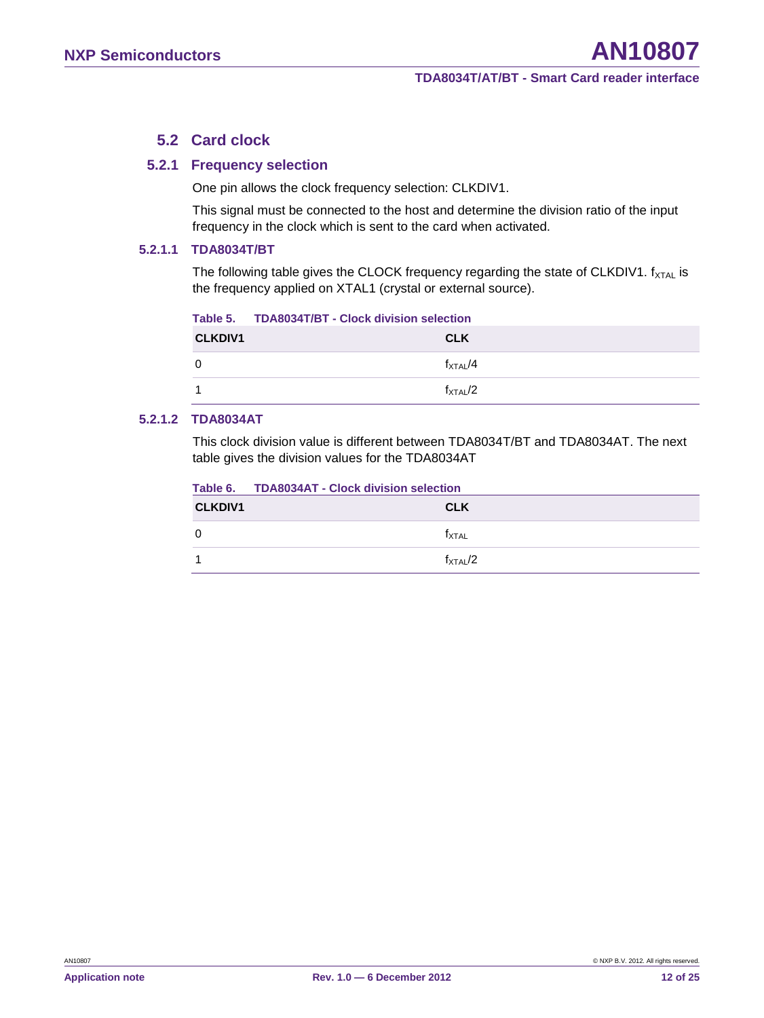#### <span id="page-11-2"></span>**5.2 Card clock**

#### **5.2.1 Frequency selection**

<span id="page-11-3"></span>One pin allows the clock frequency selection: CLKDIV1.

This signal must be connected to the host and determine the division ratio of the input frequency in the clock which is sent to the card when activated.

#### **5.2.1.1 TDA8034T/BT**

<span id="page-11-4"></span>The following table gives the CLOCK frequency regarding the state of CLKDIV1.  $f_{\text{XTAL}}$  is the frequency applied on XTAL1 (crystal or external source).

<span id="page-11-0"></span>

|                | Table 5. TDA8034T/BT - Clock division selection |
|----------------|-------------------------------------------------|
| <b>CLKDIV1</b> | <b>CLK</b>                                      |
| $\Omega$       | $f_{\text{XTAI}}/4$                             |
| 1              | $f_{\text{XTAI}}/2$                             |

#### **5.2.1.2 TDA8034AT**

<span id="page-11-5"></span>This clock division value is different between TDA8034T/BT and TDA8034AT. The next table gives the division values for the TDA8034AT

|                | Table 6. LDA8034AT - Clock division selection |
|----------------|-----------------------------------------------|
| <b>CLKDIV1</b> | <b>CLK</b>                                    |
| 0              | $f_{\text{XTAL}}$                             |
| 1              | $f_{\text{XTAL}}/2$                           |

#### <span id="page-11-1"></span>**Table 6. TDA8034AT - Clock division selection**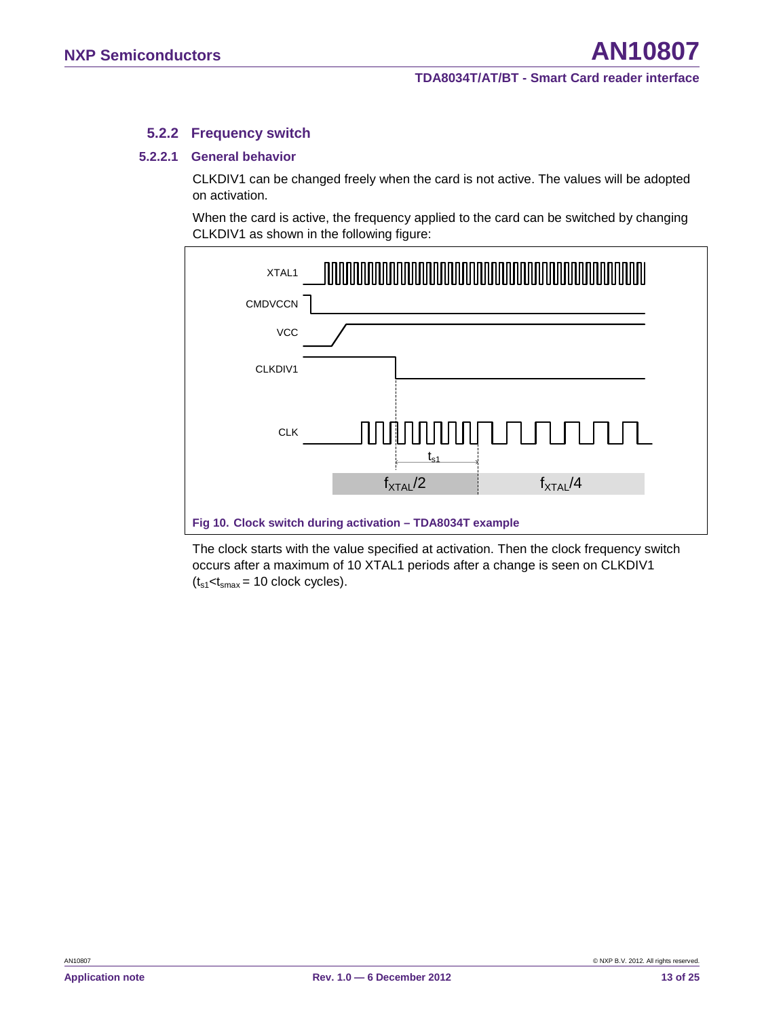#### <span id="page-12-1"></span>**5.2.2 Frequency switch**

#### **5.2.2.1 General behavior**

<span id="page-12-2"></span>CLKDIV1 can be changed freely when the card is not active. The values will be adopted on activation.

When the card is active, the frequency applied to the card can be switched by changing CLKDIV1 as shown in the following figure:



<span id="page-12-0"></span>The clock starts with the value specified at activation. Then the clock frequency switch occurs after a maximum of 10 XTAL1 periods after a change is seen on CLKDIV1  $(t<sub>s1</sub>< t<sub>smax</sub> = 10$  clock cycles).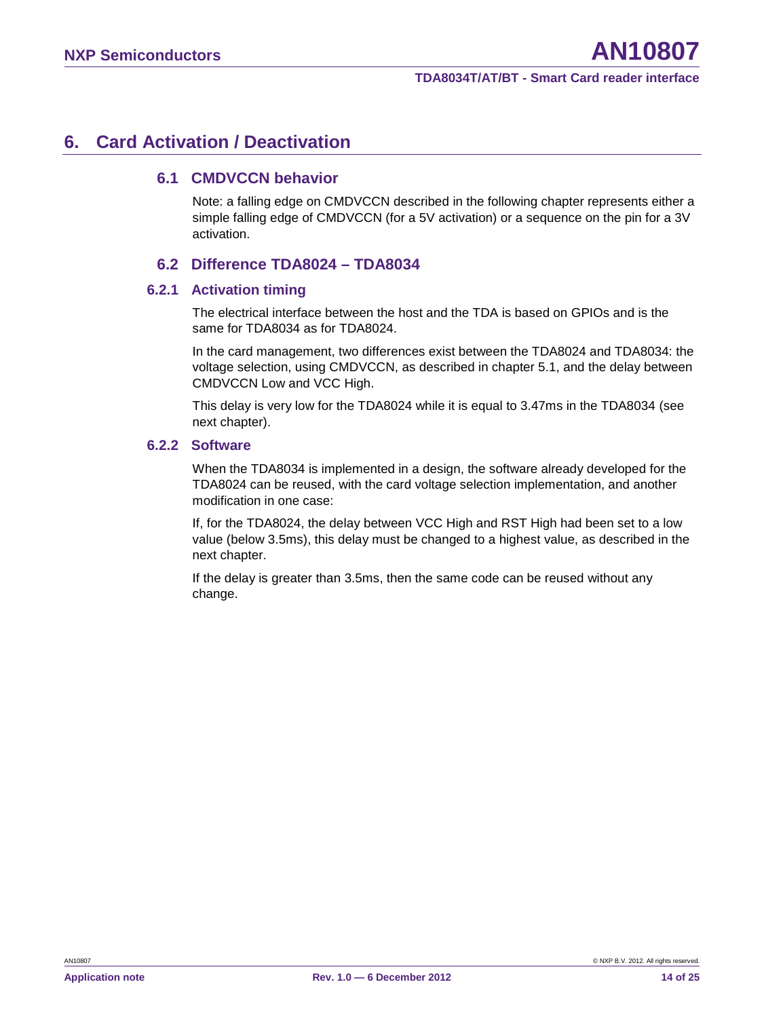## <span id="page-13-0"></span>**6. Card Activation / Deactivation**

#### <span id="page-13-1"></span>**6.1 CMDVCCN behavior**

Note: a falling edge on CMDVCCN described in the following chapter represents either a simple falling edge of CMDVCCN (for a 5V activation) or a sequence on the pin for a 3V activation.

#### <span id="page-13-2"></span>**6.2 Difference TDA8024 – TDA8034**

#### **6.2.1 Activation timing**

<span id="page-13-3"></span>The electrical interface between the host and the TDA is based on GPIOs and is the same for TDA8034 as for TDA8024.

In the card management, two differences exist between the TDA8024 and TDA8034: the voltage selection, using CMDVCCN, as described in chapter [5.1,](#page-10-0) and the delay between CMDVCCN Low and VCC High.

This delay is very low for the TDA8024 while it is equal to 3.47ms in the TDA8034 (see next chapter).

#### **6.2.2 Software**

<span id="page-13-4"></span>When the TDA8034 is implemented in a design, the software already developed for the TDA8024 can be reused, with the card voltage selection implementation, and another modification in one case:

If, for the TDA8024, the delay between VCC High and RST High had been set to a low value (below 3.5ms), this delay must be changed to a highest value, as described in the next chapter.

If the delay is greater than 3.5ms, then the same code can be reused without any change.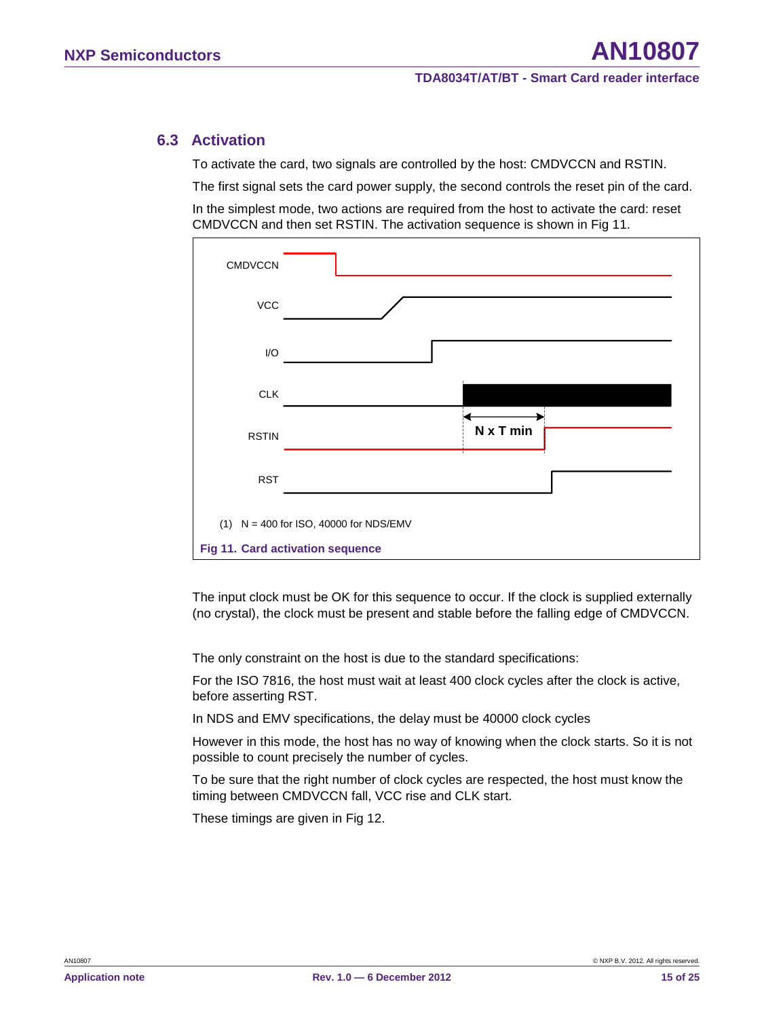### <span id="page-14-1"></span>**6.3 Activation**

To activate the card, two signals are controlled by the host: CMDVCCN and RSTIN.

The first signal sets the card power supply, the second controls the reset pin of the card.

In the simplest mode, two actions are required from the host to activate the card: reset CMDVCCN and then set RSTIN. The activation sequence is shown in [Fig 11.](#page-14-0)



<span id="page-14-0"></span>The input clock must be OK for this sequence to occur. If the clock is supplied externally (no crystal), the clock must be present and stable before the falling edge of CMDVCCN.

The only constraint on the host is due to the standard specifications:

For the ISO 7816, the host must wait at least 400 clock cycles after the clock is active, before asserting RST.

In NDS and EMV specifications, the delay must be 40000 clock cycles

However in this mode, the host has no way of knowing when the clock starts. So it is not possible to count precisely the number of cycles.

To be sure that the right number of clock cycles are respected, the host must know the timing between CMDVCCN fall, VCC rise and CLK start.

These timings are given in [Fig 12.](#page-15-0)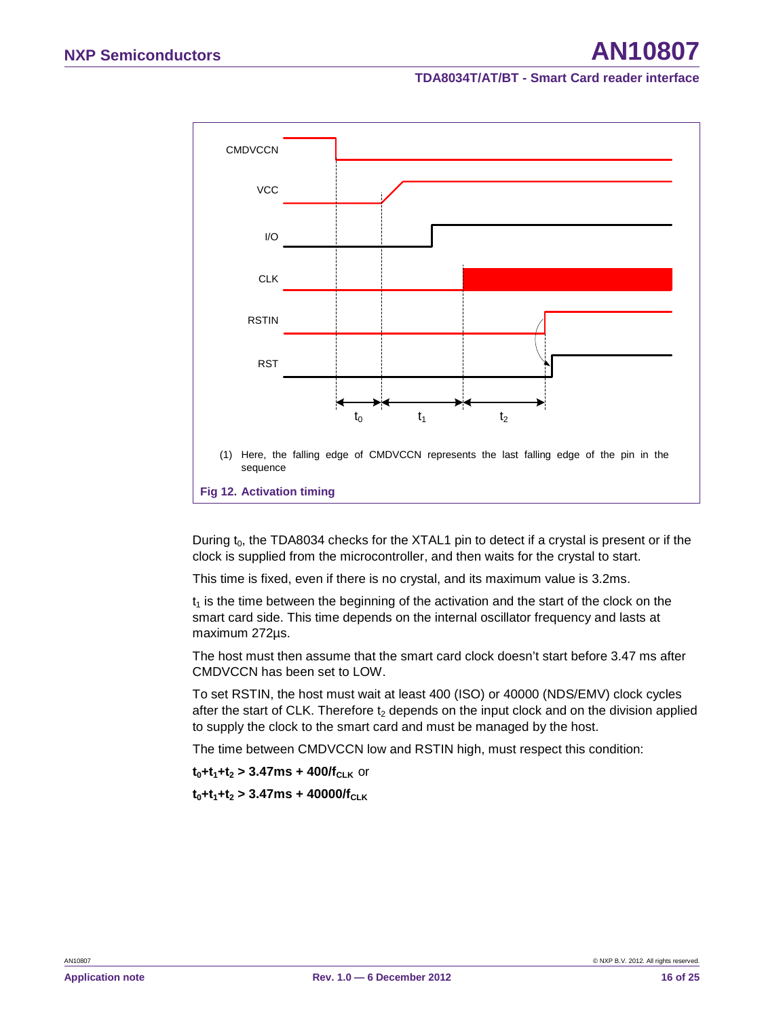

<span id="page-15-0"></span>During  $t_0$ , the TDA8034 checks for the XTAL1 pin to detect if a crystal is present or if the clock is supplied from the microcontroller, and then waits for the crystal to start.

This time is fixed, even if there is no crystal, and its maximum value is 3.2ms.

 $t_1$  is the time between the beginning of the activation and the start of the clock on the smart card side. This time depends on the internal oscillator frequency and lasts at maximum 272µs.

The host must then assume that the smart card clock doesn't start before 3.47 ms after CMDVCCN has been set to LOW.

To set RSTIN, the host must wait at least 400 (ISO) or 40000 (NDS/EMV) clock cycles after the start of CLK. Therefore  $t_2$  depends on the input clock and on the division applied to supply the clock to the smart card and must be managed by the host.

The time between CMDVCCN low and RSTIN high, must respect this condition:

 $t_0 + t_1 + t_2 > 3.47$  ms + 400/ $t_{CLK}$  or

 $t_0 + t_1 + t_2 > 3.47$  ms + 40000/f<sub>CLK</sub>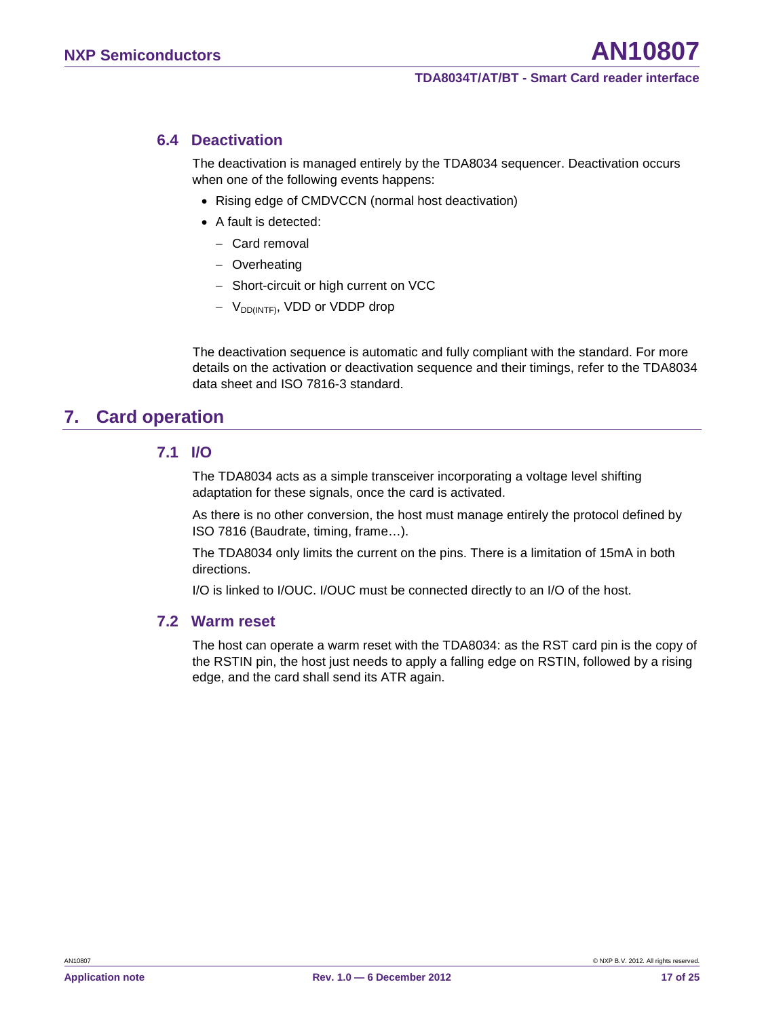## <span id="page-16-0"></span>**6.4 Deactivation**

The deactivation is managed entirely by the TDA8034 sequencer. Deactivation occurs when one of the following events happens:

- Rising edge of CMDVCCN (normal host deactivation)
- A fault is detected:
	- − Card removal
	- − Overheating
	- − Short-circuit or high current on VCC
	- − VDD(INTF), VDD or VDDP drop

The deactivation sequence is automatic and fully compliant with the standard. For more details on the activation or deactivation sequence and their timings, refer to the TDA8034 data sheet and ISO 7816-3 standard.

## <span id="page-16-1"></span>**7. Card operation**

#### **7.1 I/O**

<span id="page-16-2"></span>The TDA8034 acts as a simple transceiver incorporating a voltage level shifting adaptation for these signals, once the card is activated.

As there is no other conversion, the host must manage entirely the protocol defined by ISO 7816 (Baudrate, timing, frame…).

The TDA8034 only limits the current on the pins. There is a limitation of 15mA in both directions.

<span id="page-16-3"></span>I/O is linked to I/OUC. I/OUC must be connected directly to an I/O of the host.

#### **7.2 Warm reset**

The host can operate a warm reset with the TDA8034: as the RST card pin is the copy of the RSTIN pin, the host just needs to apply a falling edge on RSTIN, followed by a rising edge, and the card shall send its ATR again.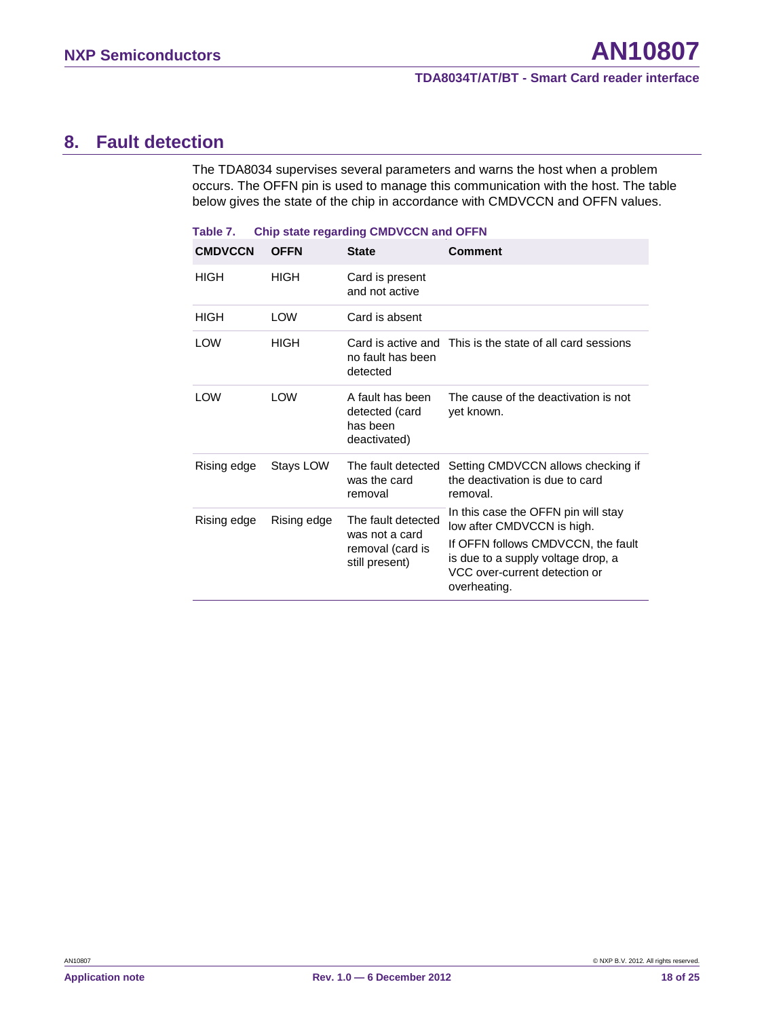## <span id="page-17-1"></span>**8. Fault detection**

The TDA8034 supervises several parameters and warns the host when a problem occurs. The OFFN pin is used to manage this communication with the host. The table below gives the state of the chip in accordance with CMDVCCN and OFFN values.

| <b>CMDVCCN</b> | <b>OFFN</b> | <b>State</b>                                                               | <b>Comment</b>                                                                                                                                                                                 |
|----------------|-------------|----------------------------------------------------------------------------|------------------------------------------------------------------------------------------------------------------------------------------------------------------------------------------------|
| <b>HIGH</b>    | <b>HIGH</b> | Card is present<br>and not active                                          |                                                                                                                                                                                                |
| <b>HIGH</b>    | LOW         | Card is absent                                                             |                                                                                                                                                                                                |
| LOW            | <b>HIGH</b> | no fault has been<br>detected                                              | Card is active and This is the state of all card sessions                                                                                                                                      |
| LOW            | <b>LOW</b>  | A fault has been<br>detected (card<br>has been<br>deactivated)             | The cause of the deactivation is not<br>yet known.                                                                                                                                             |
| Rising edge    | Stays LOW   | The fault detected<br>was the card<br>removal                              | Setting CMDVCCN allows checking if<br>the deactivation is due to card<br>removal.                                                                                                              |
| Rising edge    | Rising edge | The fault detected<br>was not a card<br>removal (card is<br>still present) | In this case the OFFN pin will stay<br>low after CMDVCCN is high.<br>If OFFN follows CMDVCCN, the fault<br>is due to a supply voltage drop, a<br>VCC over-current detection or<br>overheating. |

#### <span id="page-17-0"></span>**Table 7. Chip state regarding CMDVCCN and OFFN**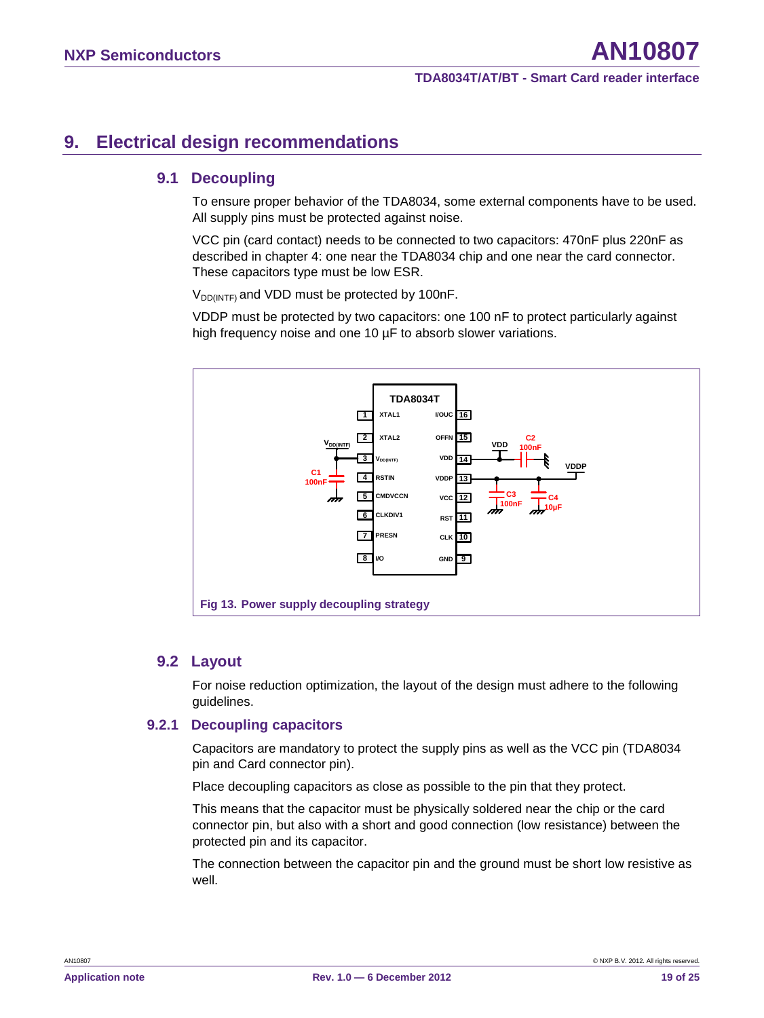## <span id="page-18-1"></span>**9. Electrical design recommendations**

### <span id="page-18-2"></span>**9.1 Decoupling**

To ensure proper behavior of the TDA8034, some external components have to be used. All supply pins must be protected against noise.

VCC pin (card contact) needs to be connected to two capacitors: 470nF plus 220nF as described in chapter [4:](#page-6-0) one near the TDA8034 chip and one near the card connector. These capacitors type must be low ESR.

 $V_{DD(INTF)}$  and VDD must be protected by 100nF.

VDDP must be protected by two capacitors: one 100 nF to protect particularly against high frequency noise and one 10 µF to absorb slower variations.



#### <span id="page-18-3"></span><span id="page-18-0"></span>**9.2 Layout**

For noise reduction optimization, the layout of the design must adhere to the following guidelines.

#### **9.2.1 Decoupling capacitors**

<span id="page-18-4"></span>Capacitors are mandatory to protect the supply pins as well as the VCC pin (TDA8034 pin and Card connector pin).

Place decoupling capacitors as close as possible to the pin that they protect.

This means that the capacitor must be physically soldered near the chip or the card connector pin, but also with a short and good connection (low resistance) between the protected pin and its capacitor.

The connection between the capacitor pin and the ground must be short low resistive as well.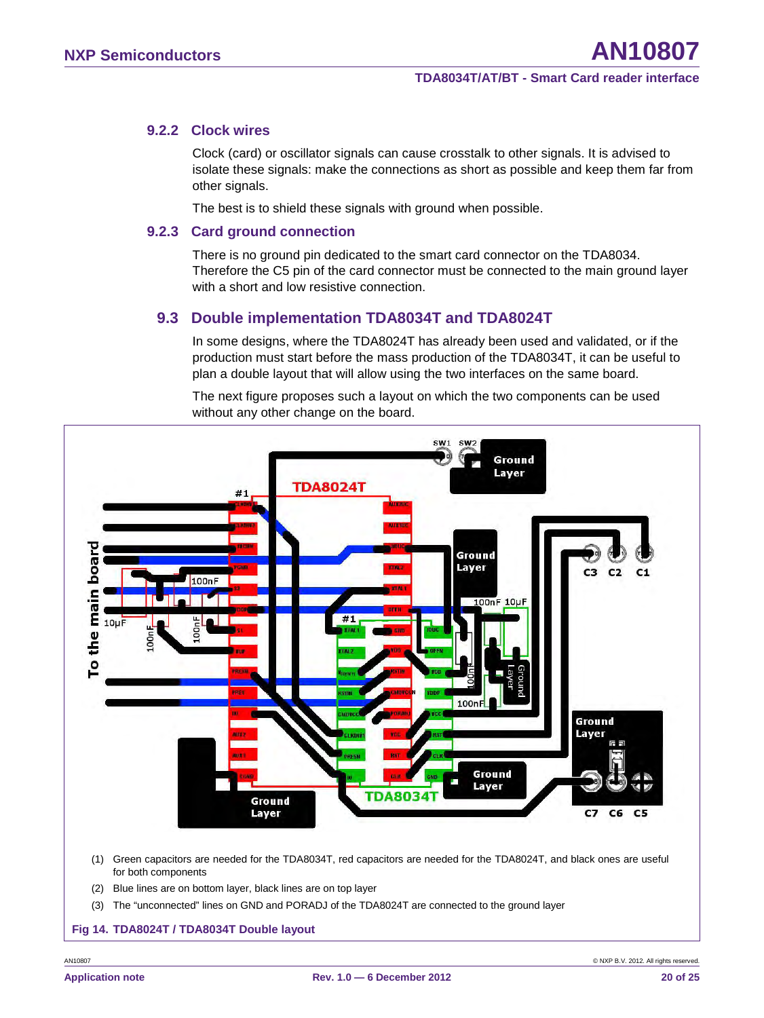#### **9.2.2 Clock wires**

<span id="page-19-1"></span>Clock (card) or oscillator signals can cause crosstalk to other signals. It is advised to isolate these signals: make the connections as short as possible and keep them far from other signals.

<span id="page-19-2"></span>The best is to shield these signals with ground when possible.

#### **9.2.3 Card ground connection**

There is no ground pin dedicated to the smart card connector on the TDA8034. Therefore the C5 pin of the card connector must be connected to the main ground layer with a short and low resistive connection.

#### <span id="page-19-3"></span>**9.3 Double implementation TDA8034T and TDA8024T**

In some designs, where the TDA8024T has already been used and validated, or if the production must start before the mass production of the TDA8034T, it can be useful to plan a double layout that will allow using the two interfaces on the same board.

The next figure proposes such a layout on which the two components can be used without any other change on the board.



(1) Green capacitors are needed for the TDA8034T, red capacitors are needed for the TDA8024T, and black ones are useful for both components

- (2) Blue lines are on bottom layer, black lines are on top layer
- (3) The "unconnected" lines on GND and PORADJ of the TDA8024T are connected to the ground layer

#### <span id="page-19-0"></span>**Fig 14. TDA8024T / TDA8034T Double layout**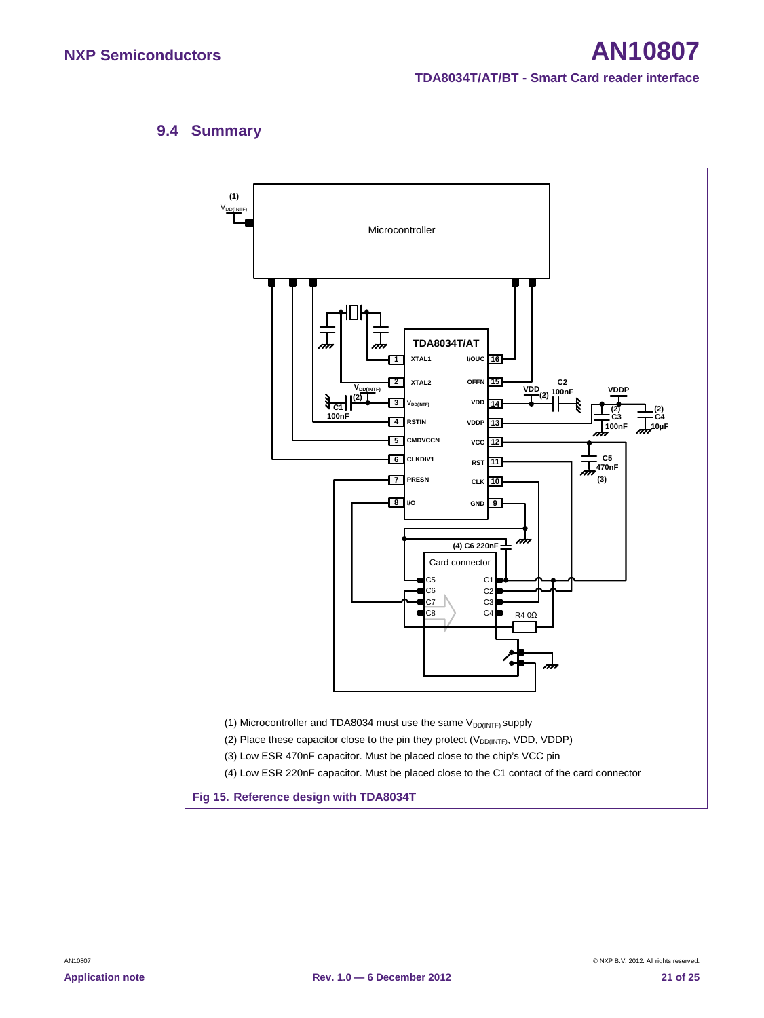## <span id="page-20-1"></span>**9.4 Summary**

<span id="page-20-0"></span>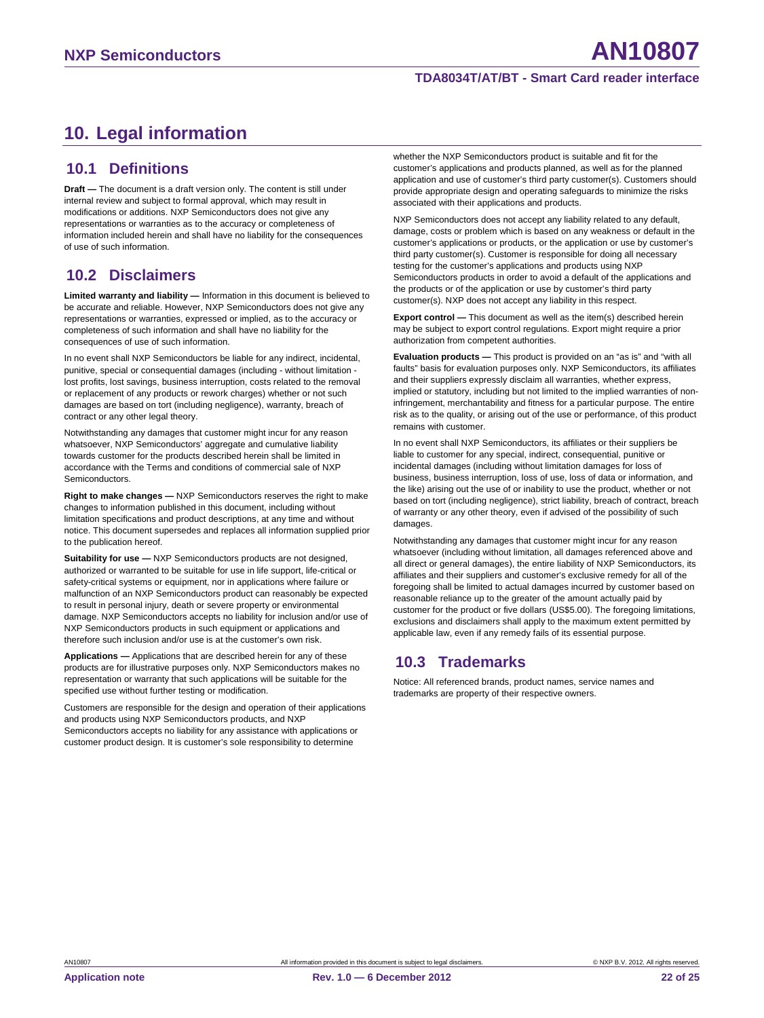# <span id="page-21-0"></span>**10. Legal information**

#### <span id="page-21-1"></span>**10.1 Definitions**

**Draft —** The document is a draft version only. The content is still under internal review and subject to formal approval, which may result in modifications or additions. NXP Semiconductors does not give any representations or warranties as to the accuracy or completeness of information included herein and shall have no liability for the consequences of use of such information.

## <span id="page-21-2"></span>**10.2 Disclaimers**

**Limited warranty and liability —** Information in this document is believed to be accurate and reliable. However, NXP Semiconductors does not give any representations or warranties, expressed or implied, as to the accuracy or completeness of such information and shall have no liability for the consequences of use of such information.

In no event shall NXP Semiconductors be liable for any indirect, incidental, punitive, special or consequential damages (including - without limitation lost profits, lost savings, business interruption, costs related to the removal or replacement of any products or rework charges) whether or not such damages are based on tort (including negligence), warranty, breach of contract or any other legal theory.

Notwithstanding any damages that customer might incur for any reason whatsoever, NXP Semiconductors' aggregate and cumulative liability towards customer for the products described herein shall be limited in accordance with the Terms and conditions of commercial sale of NXP Semiconductors.

**Right to make changes —** NXP Semiconductors reserves the right to make changes to information published in this document, including without limitation specifications and product descriptions, at any time and without notice. This document supersedes and replaces all information supplied prior to the publication hereof.

**Suitability for use —** NXP Semiconductors products are not designed, authorized or warranted to be suitable for use in life support, life-critical or safety-critical systems or equipment, nor in applications where failure or malfunction of an NXP Semiconductors product can reasonably be expected to result in personal injury, death or severe property or environmental damage. NXP Semiconductors accepts no liability for inclusion and/or use of NXP Semiconductors products in such equipment or applications and therefore such inclusion and/or use is at the customer's own risk.

**Applications —** Applications that are described herein for any of these products are for illustrative purposes only. NXP Semiconductors makes no representation or warranty that such applications will be suitable for the specified use without further testing or modification.

Customers are responsible for the design and operation of their applications and products using NXP Semiconductors products, and NXP Semiconductors accepts no liability for any assistance with applications or customer product design. It is customer's sole responsibility to determine

whether the NXP Semiconductors product is suitable and fit for the customer's applications and products planned, as well as for the planned application and use of customer's third party customer(s). Customers should provide appropriate design and operating safeguards to minimize the risks associated with their applications and products.

NXP Semiconductors does not accept any liability related to any default, damage, costs or problem which is based on any weakness or default in the customer's applications or products, or the application or use by customer's third party customer(s). Customer is responsible for doing all necessary testing for the customer's applications and products using NXP Semiconductors products in order to avoid a default of the applications and the products or of the application or use by customer's third party customer(s). NXP does not accept any liability in this respect.

**Export control —** This document as well as the item(s) described herein may be subject to export control regulations. Export might require a prior authorization from competent authorities.

**Evaluation products —** This product is provided on an "as is" and "with all faults" basis for evaluation purposes only. NXP Semiconductors, its affiliates and their suppliers expressly disclaim all warranties, whether express, implied or statutory, including but not limited to the implied warranties of noninfringement, merchantability and fitness for a particular purpose. The entire risk as to the quality, or arising out of the use or performance, of this product remains with customer.

In no event shall NXP Semiconductors, its affiliates or their suppliers be liable to customer for any special, indirect, consequential, punitive or incidental damages (including without limitation damages for loss of business, business interruption, loss of use, loss of data or information, and the like) arising out the use of or inability to use the product, whether or not based on tort (including negligence), strict liability, breach of contract, breach of warranty or any other theory, even if advised of the possibility of such damages.

Notwithstanding any damages that customer might incur for any reason whatsoever (including without limitation, all damages referenced above and all direct or general damages), the entire liability of NXP Semiconductors, its affiliates and their suppliers and customer's exclusive remedy for all of the foregoing shall be limited to actual damages incurred by customer based on reasonable reliance up to the greater of the amount actually paid by customer for the product or five dollars (US\$5.00). The foregoing limitations, exclusions and disclaimers shall apply to the maximum extent permitted by applicable law, even if any remedy fails of its essential purpose.

### <span id="page-21-3"></span>**10.3 Trademarks**

Notice: All referenced brands, product names, service names and trademarks are property of their respective owners.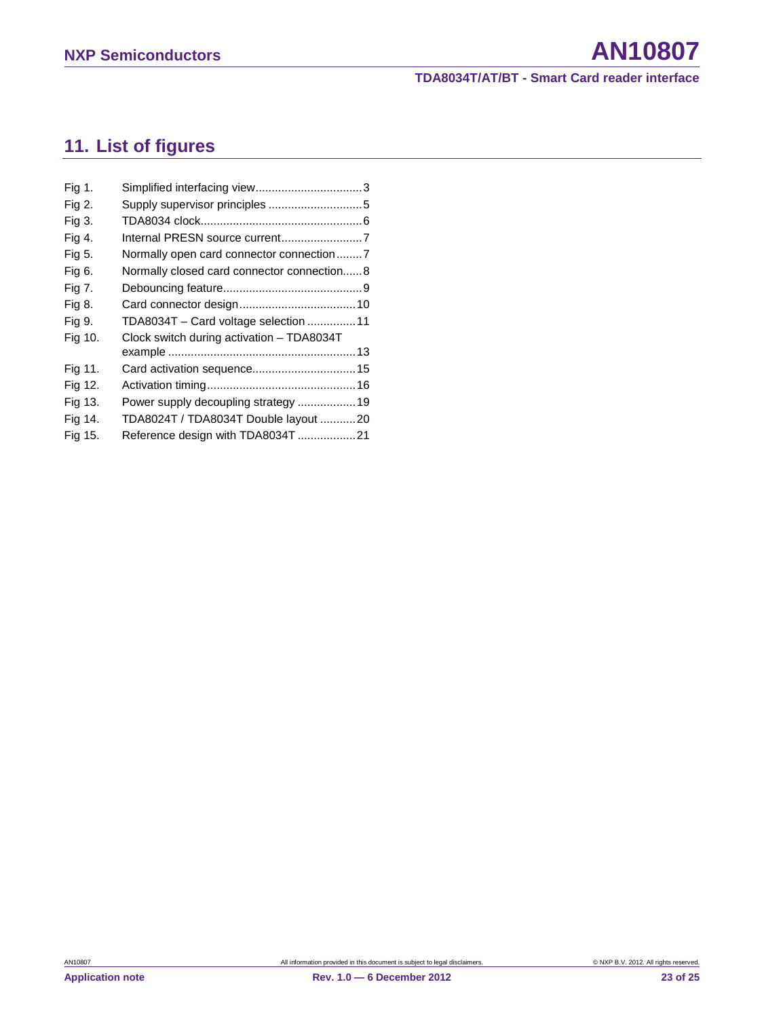# <span id="page-22-0"></span>**11. List of figures**

| Fig 1.  |                                            |  |
|---------|--------------------------------------------|--|
| Fig 2.  |                                            |  |
| Fig 3.  |                                            |  |
| Fig 4.  | Internal PRESN source current7             |  |
| Fig 5.  | Normally open card connector connection7   |  |
| Fig 6.  | Normally closed card connector connection8 |  |
| Fig 7.  |                                            |  |
| Fig 8.  |                                            |  |
| Fig 9.  | TDA8034T - Card voltage selection 11       |  |
| Fig 10. | Clock switch during activation - TDA8034T  |  |
|         |                                            |  |
| Fig 11. |                                            |  |
| Fig 12. |                                            |  |
| Fig 13. | Power supply decoupling strategy  19       |  |
| Fig 14. | TDA8024T / TDA8034T Double layout 20       |  |
| Fig 15. | Reference design with TDA8034T 21          |  |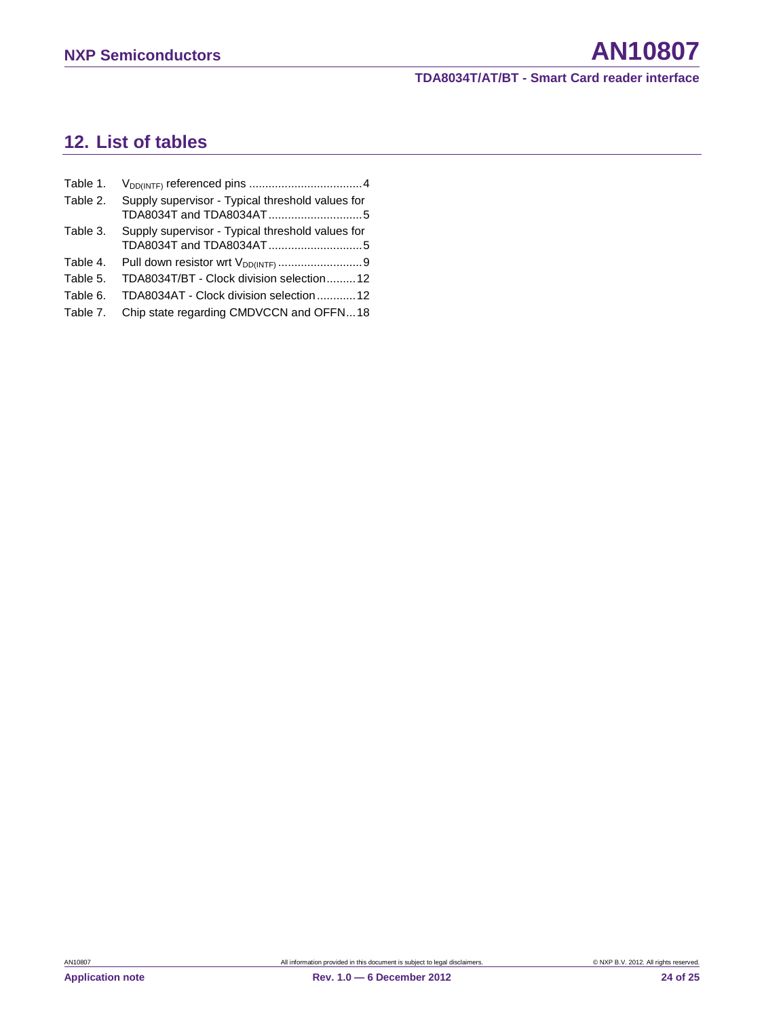# <span id="page-23-0"></span>**12. List of tables**

| Table 1. |                                                  |
|----------|--------------------------------------------------|
| Table 2. | Supply supervisor - Typical threshold values for |
| Table 3. | Supply supervisor - Typical threshold values for |
| Table 4. | Pull down resistor wrt V <sub>DD(INTF)</sub> 9   |
| Table 5. | TDA8034T/BT - Clock division selection 12        |
| Table 6. | TDA8034AT - Clock division selection  12         |
| Table 7. | Chip state regarding CMDVCCN and OFFN18          |